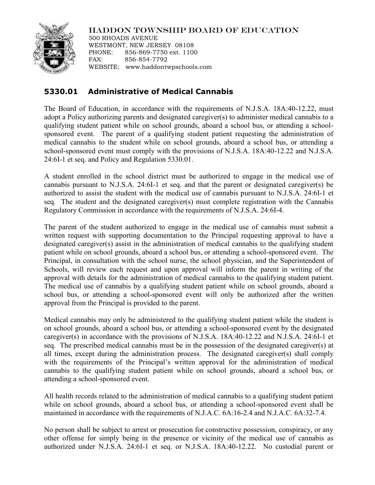HADDON TOWNSHIP BOARD OF EDUCATION

500 RHOADS AVENUE WESTMONT, NEW JERSEY 08108 PHONE: 856-869-7750 ext. 1100 FAX: 856-854-7792 WEBSITE: www.haddontwpschools.com

## **5330.01 Administrative of Medical Cannabis**

The Board of Education, in accordance with the requirements of N.J.S.A. 18A:40-12.22, must adopt a Policy authorizing parents and designated caregiver(s) to administer medical cannabis to a qualifying student patient while on school grounds, aboard a school bus, or attending a schoolsponsored event. The parent of a qualifying student patient requesting the administration of medical cannabis to the student while on school grounds, aboard a school bus, or attending a school-sponsored event must comply with the provisions of N.J.S.A. 18A:40-12.22 and N.J.S.A. 24:6I-1 et seq. and Policy and Regulation 5330.01.

A student enrolled in the school district must be authorized to engage in the medical use of cannabis pursuant to N.J.S.A. 24:6I-1 et seq. and that the parent or designated caregiver(s) be authorized to assist the student with the medical use of cannabis pursuant to N.J.S.A. 24:6I-1 et seq. The student and the designated caregiver(s) must complete registration with the Cannabis Regulatory Commission in accordance with the requirements of N.J.S.A. 24:6I-4.

The parent of the student authorized to engage in the medical use of cannabis must submit a written request with supporting documentation to the Principal requesting approval to have a designated caregiver(s) assist in the administration of medical cannabis to the qualifying student patient while on school grounds, aboard a school bus, or attending a school-sponsored event. The Principal, in consultation with the school nurse, the school physician, and the Superintendent of Schools, will review each request and upon approval will inform the parent in writing of the approval with details for the administration of medical cannabis to the qualifying student patient. The medical use of cannabis by a qualifying student patient while on school grounds, aboard a school bus, or attending a school-sponsored event will only be authorized after the written approval from the Principal is provided to the parent.

Medical cannabis may only be administered to the qualifying student patient while the student is on school grounds, aboard a school bus, or attending a school-sponsored event by the designated caregiver(s) in accordance with the provisions of N.J.S.A. 18A:40-12.22 and N.J.S.A. 24:6I-1 et seq. The prescribed medical cannabis must be in the possession of the designated caregiver(s) at all times, except during the administration process. The designated caregiver(s) shall comply with the requirements of the Principal's written approval for the administration of medical cannabis to the qualifying student patient while on school grounds, aboard a school bus, or attending a school-sponsored event.

All health records related to the administration of medical cannabis to a qualifying student patient while on school grounds, aboard a school bus, or attending a school-sponsored event shall be maintained in accordance with the requirements of N.J.A.C. 6A:16-2.4 and N.J.A.C. 6A:32-7.4.

No person shall be subject to arrest or prosecution for constructive possession, conspiracy, or any other offense for simply being in the presence or vicinity of the medical use of cannabis as authorized under N.J.S.A. 24:6I-1 et seq. or N.J.S.A. 18A:40-12.22. No custodial parent or